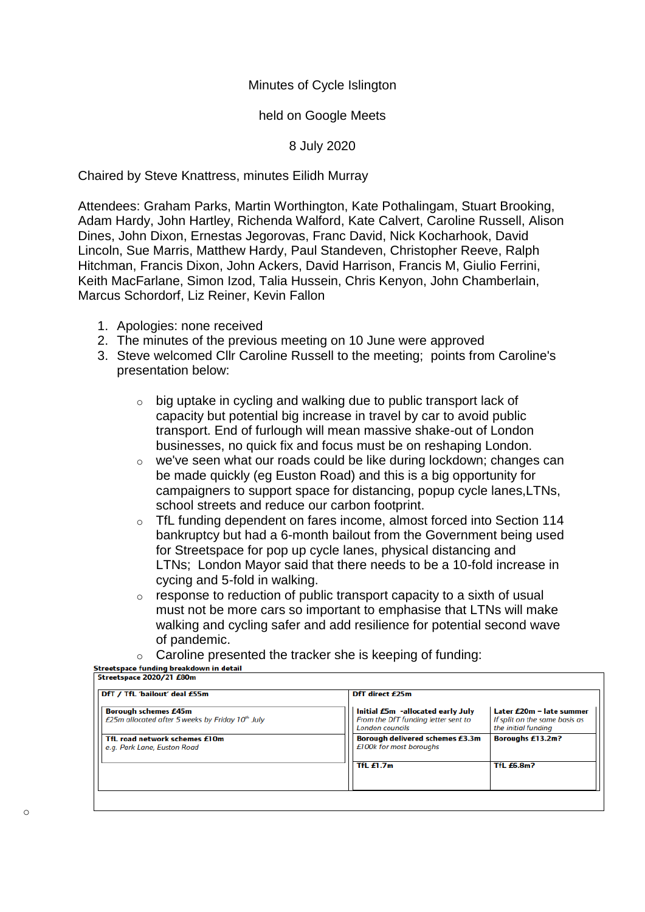## Minutes of Cycle Islington

## held on Google Meets

## 8 July 2020

Chaired by Steve Knattress, minutes Eilidh Murray

Attendees: Graham Parks, Martin Worthington, Kate Pothalingam, Stuart Brooking, Adam Hardy, John Hartley, Richenda Walford, Kate Calvert, Caroline Russell, Alison Dines, John Dixon, Ernestas Jegorovas, Franc David, Nick Kocharhook, David Lincoln, Sue Marris, Matthew Hardy, Paul Standeven, Christopher Reeve, Ralph Hitchman, Francis Dixon, John Ackers, David Harrison, Francis M, Giulio Ferrini, Keith MacFarlane, Simon Izod, Talia Hussein, Chris Kenyon, John Chamberlain, Marcus Schordorf, Liz Reiner, Kevin Fallon

- 1. Apologies: none received
- 2. The minutes of the previous meeting on 10 June were approved
- 3. Steve welcomed Cllr Caroline Russell to the meeting; points from Caroline's presentation below:
	- o big uptake in cycling and walking due to public transport lack of capacity but potential big increase in travel by car to avoid public transport. End of furlough will mean massive shake-out of London businesses, no quick fix and focus must be on reshaping London.
	- o we've seen what our roads could be like during lockdown; changes can be made quickly (eg Euston Road) and this is a big opportunity for campaigners to support space for distancing, popup cycle lanes,LTNs, school streets and reduce our carbon footprint.
	- o TfL funding dependent on fares income, almost forced into Section 114 bankruptcy but had a 6-month bailout from the Government being used for Streetspace for pop up cycle lanes, physical distancing and LTNs; London Mayor said that there needs to be a 10-fold increase in cycing and 5-fold in walking.
	- $\circ$  response to reduction of public transport capacity to a sixth of usual must not be more cars so important to emphasise that LTNs will make walking and cycling safer and add resilience for potential second wave of pandemic.
- $\circ$  Caroline presented the tracker she is keeping of funding:<br>Streetspace funding breakdown in detail

| DfT / TfL 'bailout' deal £55m                                                   | DfT direct £25m                                                                             |                                                                                    |
|---------------------------------------------------------------------------------|---------------------------------------------------------------------------------------------|------------------------------------------------------------------------------------|
| <b>Borough schemes £45m</b><br>£25m allocated after 5 weeks by Friday 10th July | Initial £5m -allocated early July<br>From the DfT funding letter sent to<br>London councils | Later $E20m -$ late summer<br>If split on the same basis as<br>the initial funding |
| TfL road network schemes £10m<br>e.g. Park Lane, Euston Road                    | <b>Borough delivered schemes £3.3m</b><br>£100k for most boroughs                           | <b>Boroughs £13.2m?</b>                                                            |
|                                                                                 | TfL $£1.7m$                                                                                 | <b>TfL £6.8m?</b>                                                                  |
|                                                                                 |                                                                                             |                                                                                    |

o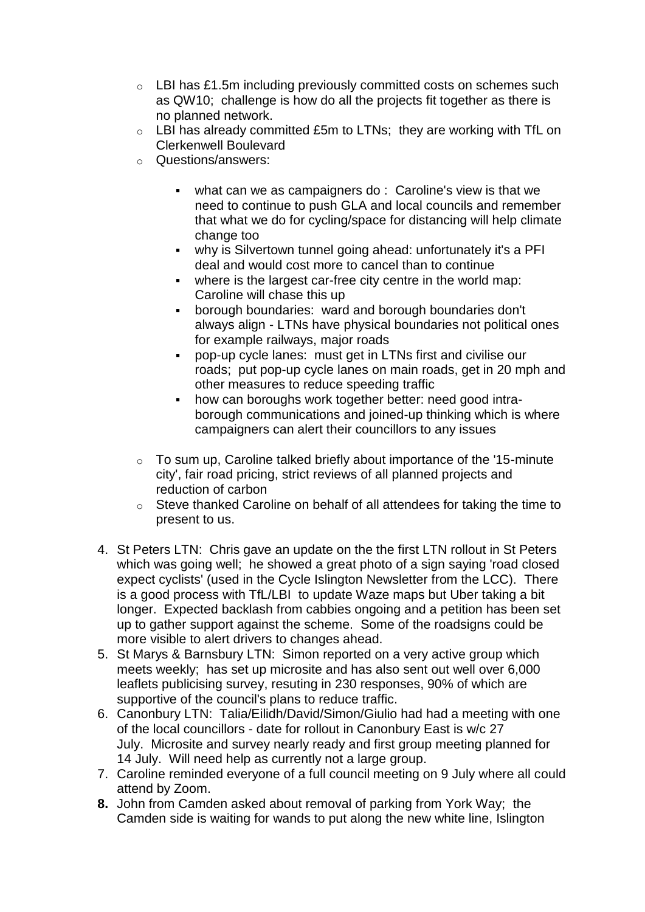- o LBI has £1.5m including previously committed costs on schemes such as QW10; challenge is how do all the projects fit together as there is no planned network.
- $\circ$  LBI has already committed £5m to LTNs; they are working with TfL on Clerkenwell Boulevard
- o Questions/answers:
	- what can we as campaigners do : Caroline's view is that we need to continue to push GLA and local councils and remember that what we do for cycling/space for distancing will help climate change too
	- why is Silvertown tunnel going ahead: unfortunately it's a PFI deal and would cost more to cancel than to continue
	- where is the largest car-free city centre in the world map: Caroline will chase this up
	- borough boundaries: ward and borough boundaries don't always align - LTNs have physical boundaries not political ones for example railways, major roads
	- pop-up cycle lanes: must get in LTNs first and civilise our roads; put pop-up cycle lanes on main roads, get in 20 mph and other measures to reduce speeding traffic
	- how can boroughs work together better: need good intraborough communications and joined-up thinking which is where campaigners can alert their councillors to any issues
- o To sum up, Caroline talked briefly about importance of the '15-minute city', fair road pricing, strict reviews of all planned projects and reduction of carbon
- o Steve thanked Caroline on behalf of all attendees for taking the time to present to us.
- 4. St Peters LTN: Chris gave an update on the the first LTN rollout in St Peters which was going well; he showed a great photo of a sign saying 'road closed expect cyclists' (used in the Cycle Islington Newsletter from the LCC). There is a good process with TfL/LBI to update Waze maps but Uber taking a bit longer. Expected backlash from cabbies ongoing and a petition has been set up to gather support against the scheme. Some of the roadsigns could be more visible to alert drivers to changes ahead.
- 5. St Marys & Barnsbury LTN: Simon reported on a very active group which meets weekly; has set up microsite and has also sent out well over 6,000 leaflets publicising survey, resuting in 230 responses, 90% of which are supportive of the council's plans to reduce traffic.
- 6. Canonbury LTN: Talia/Eilidh/David/Simon/Giulio had had a meeting with one of the local councillors - date for rollout in Canonbury East is w/c 27 July. Microsite and survey nearly ready and first group meeting planned for 14 July. Will need help as currently not a large group.
- 7. Caroline reminded everyone of a full council meeting on 9 July where all could attend by Zoom.
- **8.** John from Camden asked about removal of parking from York Way; the Camden side is waiting for wands to put along the new white line, Islington